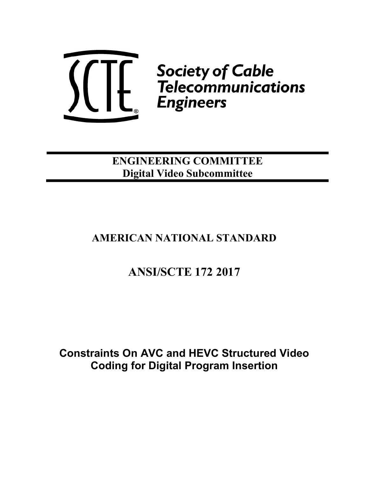

ENGINEERING COMMITTEE Digital Video Subcommittee

# AMERICAN NATIONAL STANDARD

# ANSI/SCTE 172 2017

Constraints On AVC and HEVC Structured Video Coding for Digital Program Insertion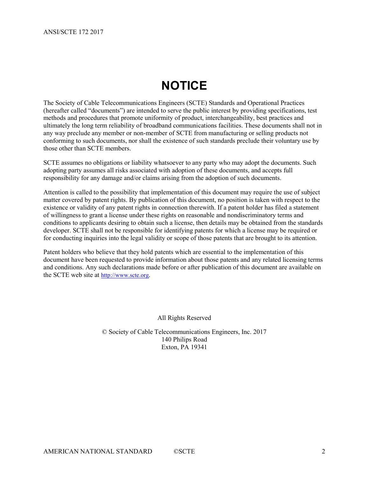# **NOTICE**

The Society of Cable Telecommunications Engineers (SCTE) Standards and Operational Practices (hereafter called "documents") are intended to serve the public interest by providing specifications, test methods and procedures that promote uniformity of product, interchangeability, best practices and ultimately the long term reliability of broadband communications facilities. These documents shall not in any way preclude any member or non-member of SCTE from manufacturing or selling products not conforming to such documents, nor shall the existence of such standards preclude their voluntary use by those other than SCTE members.

SCTE assumes no obligations or liability whatsoever to any party who may adopt the documents. Such adopting party assumes all risks associated with adoption of these documents, and accepts full responsibility for any damage and/or claims arising from the adoption of such documents.

Attention is called to the possibility that implementation of this document may require the use of subject matter covered by patent rights. By publication of this document, no position is taken with respect to the existence or validity of any patent rights in connection therewith. If a patent holder has filed a statement of willingness to grant a license under these rights on reasonable and nondiscriminatory terms and conditions to applicants desiring to obtain such a license, then details may be obtained from the standards developer. SCTE shall not be responsible for identifying patents for which a license may be required or for conducting inquiries into the legal validity or scope of those patents that are brought to its attention.

Patent holders who believe that they hold patents which are essential to the implementation of this document have been requested to provide information about those patents and any related licensing terms and conditions. Any such declarations made before or after publication of this document are available on the SCTE web site at http://www.scte.org.

All Rights Reserved

© Society of Cable Telecommunications Engineers, Inc. 2017 140 Philips Road Exton, PA 19341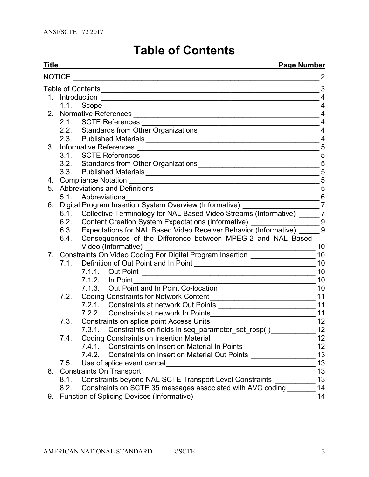# Table of Contents

| Title<br><b>Page Number</b> |                                            |                                                                                                                |                 |  |  |  |
|-----------------------------|--------------------------------------------|----------------------------------------------------------------------------------------------------------------|-----------------|--|--|--|
| <b>NOTICE</b>               |                                            |                                                                                                                | 2               |  |  |  |
|                             |                                            |                                                                                                                | 3               |  |  |  |
|                             |                                            |                                                                                                                | $\overline{4}$  |  |  |  |
|                             |                                            |                                                                                                                | $\overline{4}$  |  |  |  |
|                             |                                            |                                                                                                                | $\overline{4}$  |  |  |  |
|                             |                                            |                                                                                                                | $\overline{4}$  |  |  |  |
|                             |                                            |                                                                                                                | $\overline{4}$  |  |  |  |
|                             |                                            |                                                                                                                | $\overline{4}$  |  |  |  |
|                             |                                            |                                                                                                                | $\sqrt{5}$      |  |  |  |
|                             |                                            |                                                                                                                | $\sqrt{5}$      |  |  |  |
|                             |                                            |                                                                                                                |                 |  |  |  |
|                             |                                            |                                                                                                                | $\overline{5}$  |  |  |  |
|                             | 5                                          |                                                                                                                |                 |  |  |  |
|                             |                                            |                                                                                                                | 5               |  |  |  |
|                             | 5.1                                        | Abbreviations                                                                                                  | 6               |  |  |  |
| 6.                          |                                            | Digital Program Insertion System Overview (Informative) _______                                                | $\overline{7}$  |  |  |  |
|                             |                                            | 6.1. Collective Terminology for NAL Based Video Streams (Informative) _______ 7                                |                 |  |  |  |
|                             | 6.2.                                       | Content Creation System Expectations (Informative) _________________________9                                  |                 |  |  |  |
|                             |                                            | Expectations for NAL Based Video Receiver Behavior (Informative) ______ 9<br>6.3.                              |                 |  |  |  |
|                             | 6.4.                                       | Consequences of the Difference between MPEG-2 and NAL Based<br>Video (Informative)                             | 10              |  |  |  |
|                             |                                            | 7. Constraints On Video Coding For Digital Program Insertion                                                   | 10              |  |  |  |
|                             | 7.1.                                       |                                                                                                                | 10              |  |  |  |
|                             |                                            | 7.1.1. Out Point                                                                                               | 10              |  |  |  |
|                             |                                            | 7.1.2. In Point                                                                                                | 10              |  |  |  |
|                             |                                            |                                                                                                                | 10              |  |  |  |
|                             | 7.2.                                       | Coding Constraints for Network Content [1944] [1945] [1945] [1945] [1946] [1946] [1946] [1946] [1946] [1946] [ | 11              |  |  |  |
|                             |                                            |                                                                                                                | 11              |  |  |  |
|                             |                                            |                                                                                                                | 11              |  |  |  |
|                             | 7.3.                                       |                                                                                                                | 12              |  |  |  |
|                             |                                            |                                                                                                                | 12              |  |  |  |
|                             | 7.4.                                       | <b>Coding Constraints on Insertion Material</b>                                                                | 12 <sub>2</sub> |  |  |  |
|                             |                                            | <b>Constraints on Insertion Material In Points</b><br>7.4.1.<br><u> 1990 - Johann Barbara, martin a</u>        | 12              |  |  |  |
|                             |                                            | 7.4.2.<br><b>Constraints on Insertion Material Out Points</b>                                                  | 13              |  |  |  |
|                             | 7.5.                                       | Use of splice event cancel                                                                                     | 13              |  |  |  |
| 8.                          | <b>Constraints On Transport</b><br>13      |                                                                                                                |                 |  |  |  |
|                             | 8.1.                                       | Constraints beyond NAL SCTE Transport Level Constraints                                                        | 13              |  |  |  |
|                             | 8.2.                                       | Constraints on SCTE 35 messages associated with AVC coding                                                     | 14<br>14        |  |  |  |
| 9.                          | Function of Splicing Devices (Informative) |                                                                                                                |                 |  |  |  |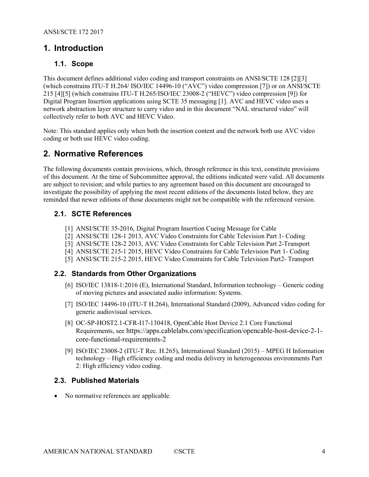## 1. Introduction

#### 1.1. Scope

This document defines additional video coding and transport constraints on ANSI/SCTE 128 [2][3] (which constrains ITU-T H.264/ ISO/IEC 14496-10 ("AVC") video compression [7]) or on ANSI/SCTE 215 [4][5] (which constrains ITU-T H.265/ISO/IEC 23008-2 ("HEVC") video compression [9]) for Digital Program Insertion applications using SCTE 35 messaging [1]. AVC and HEVC video uses a network abstraction layer structure to carry video and in this document "NAL structured video" will collectively refer to both AVC and HEVC Video.

Note: This standard applies only when both the insertion content and the network both use AVC video coding or both use HEVC video coding.

## 2. Normative References

The following documents contain provisions, which, through reference in this text, constitute provisions of this document. At the time of Subcommittee approval, the editions indicated were valid. All documents are subject to revision; and while parties to any agreement based on this document are encouraged to investigate the possibility of applying the most recent editions of the documents listed below, they are reminded that newer editions of those documents might not be compatible with the referenced version.

#### 2.1. SCTE References

- [1] ANSI/SCTE 35-2016, Digital Program Insertion Cueing Message for Cable
- [2] ANSI/SCTE 128-1 2013, AVC Video Constraints for Cable Television Part 1- Coding
- [3] ANSI/SCTE 128-2 2013, AVC Video Constraints for Cable Television Part 2-Transport
- [4] ANSI/SCTE 215-1 2015, HEVC Video Constraints for Cable Television Part 1- Coding
- [5] ANSI/SCTE 215-2 2015, HEVC Video Constraints for Cable Television Part2- Transport

#### 2.2. Standards from Other Organizations

- [6] ISO/IEC 13818-1:2016 (E), International Standard, Information technology Generic coding of moving pictures and associated audio information: Systems.
- [7] ISO/IEC 14496-10 (ITU-T H.264), International Standard (2009), Advanced video coding for generic audiovisual services.
- [8] OC-SP-HOST2.1-CFR-I17-130418, OpenCable Host Device 2.1 Core Functional Requirements, see https://apps.cablelabs.com/specification/opencable-host-device-2-1 core-functional-requirements-2
- [9] ISO/IEC 23008-2 (ITU-T Rec. H.265), International Standard (2015) MPEG H Information technology – High efficiency coding and media delivery in heterogeneous environments Part 2: High efficiency video coding.

#### 2.3. Published Materials

• No normative references are applicable.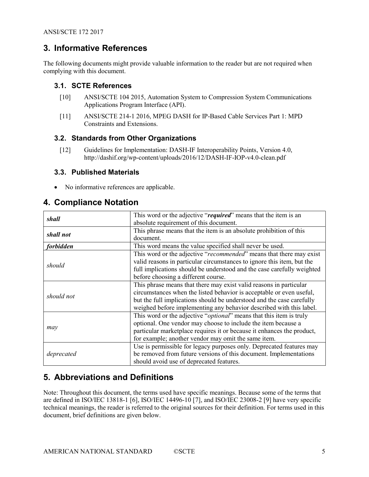## 3. Informative References

The following documents might provide valuable information to the reader but are not required when complying with this document.

#### 3.1. SCTE References

- [10] ANSI/SCTE 104 2015, Automation System to Compression System Communications Applications Program Interface (API).
- [11] ANSI/SCTE 214-1 2016, MPEG DASH for IP-Based Cable Services Part 1: MPD Constraints and Extensions.

#### 3.2. Standards from Other Organizations

[12] Guidelines for Implementation: DASH-IF Interoperability Points, Version 4.0, http://dashif.org/wp-content/uploads/2016/12/DASH-IF-IOP-v4.0-clean.pdf

#### 3.3. Published Materials

No informative references are applicable.

## 4. Compliance Notation

| shall            | This word or the adjective "required" means that the item is an              |
|------------------|------------------------------------------------------------------------------|
|                  | absolute requirement of this document.                                       |
| shall not        | This phrase means that the item is an absolute prohibition of this           |
|                  | document.                                                                    |
| <i>forbidden</i> | This word means the value specified shall never be used.                     |
|                  | This word or the adjective "recommended" means that there may exist          |
|                  | valid reasons in particular circumstances to ignore this item, but the       |
| should           | full implications should be understood and the case carefully weighted       |
|                  | before choosing a different course.                                          |
|                  | This phrase means that there may exist valid reasons in particular           |
| should not       | circumstances when the listed behavior is acceptable or even useful,         |
|                  | but the full implications should be understood and the case carefully        |
|                  | weighed before implementing any behavior described with this label.          |
|                  | This word or the adjective " <i>optional</i> " means that this item is truly |
|                  | optional. One vendor may choose to include the item because a                |
| may              | particular marketplace requires it or because it enhances the product,       |
|                  | for example; another vendor may omit the same item.                          |
|                  | Use is permissible for legacy purposes only. Deprecated features may         |
| deprecated       | be removed from future versions of this document. Implementations            |
|                  | should avoid use of deprecated features.                                     |

# 5. Abbreviations and Definitions

Note: Throughout this document, the terms used have specific meanings. Because some of the terms that are defined in ISO/IEC 13818-1 [6], ISO/IEC 14496-10 [7], and ISO/IEC 23008-2 [9] have very specific technical meanings, the reader is referred to the original sources for their definition. For terms used in this document, brief definitions are given below.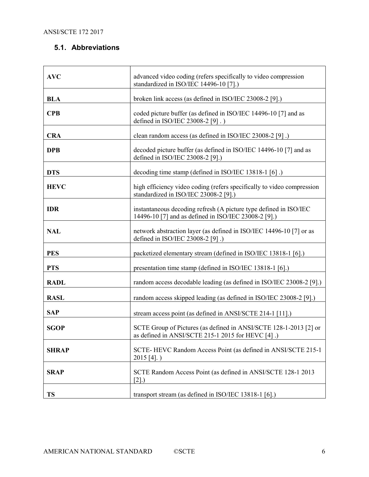## 5.1. Abbreviations

| <b>AVC</b>   | advanced video coding (refers specifically to video compression<br>standardized in ISO/IEC 14496-10 [7].)                 |
|--------------|---------------------------------------------------------------------------------------------------------------------------|
| <b>BLA</b>   | broken link access (as defined in ISO/IEC 23008-2 [9].)                                                                   |
| <b>CPB</b>   | coded picture buffer (as defined in ISO/IEC 14496-10 [7] and as<br>defined in ISO/IEC 23008-2 [9].)                       |
| <b>CRA</b>   | clean random access (as defined in ISO/IEC 23008-2 [9].)                                                                  |
| <b>DPB</b>   | decoded picture buffer (as defined in ISO/IEC 14496-10 [7] and as<br>defined in ISO/IEC 23008-2 [9].)                     |
| <b>DTS</b>   | decoding time stamp (defined in ISO/IEC 13818-1 [6].)                                                                     |
| <b>HEVC</b>  | high efficiency video coding (refers specifically to video compression<br>standardized in ISO/IEC 23008-2 [9].)           |
| <b>IDR</b>   | instantaneous decoding refresh (A picture type defined in ISO/IEC<br>14496-10 [7] and as defined in ISO/IEC 23008-2 [9].) |
| <b>NAL</b>   | network abstraction layer (as defined in ISO/IEC 14496-10 [7] or as<br>defined in ISO/IEC 23008-2 [9].)                   |
| <b>PES</b>   | packetized elementary stream (defined in ISO/IEC 13818-1 [6].)                                                            |
| <b>PTS</b>   | presentation time stamp (defined in ISO/IEC 13818-1 [6].)                                                                 |
| <b>RADL</b>  | random access decodable leading (as defined in ISO/IEC 23008-2 [9].)                                                      |
| <b>RASL</b>  | random access skipped leading (as defined in ISO/IEC 23008-2 [9].)                                                        |
| <b>SAP</b>   | stream access point (as defined in ANSI/SCTE 214-1 [11].)                                                                 |
| <b>SGOP</b>  | SCTE Group of Pictures (as defined in ANSI/SCTE 128-1-2013 [2] or<br>as defined in ANSI/SCTE 215-1 2015 for HEVC [4].)    |
| <b>SHRAP</b> | SCTE-HEVC Random Access Point (as defined in ANSI/SCTE 215-1<br>$2015$ [4].)                                              |
| <b>SRAP</b>  | SCTE Random Access Point (as defined in ANSI/SCTE 128-1 2013<br>$[2]$ .)                                                  |
| <b>TS</b>    | transport stream (as defined in ISO/IEC 13818-1 [6].)                                                                     |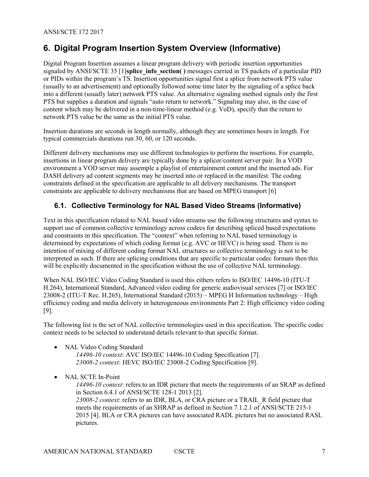## 6. Digital Program Insertion System Overview (Informative)

Digital Program Insertion assumes a linear program delivery with periodic insertion opportunities signaled by ANSI/SCTE 35 [1]splice info\_section( ) messages carried in TS packets of a particular PID or PIDs within the program's TS. Insertion opportunities signal first a splice from network PTS value (usually to an advertisement) and optionally followed some time later by the signaling of a splice back into a different (usually later) network PTS value. An alternative signaling method signals only the first PTS but supplies a duration and signals "auto return to network." Signaling may also, in the case of content which may be delivered in a non-time-linear method (e.g. VoD), specify that the return to network PTS value be the same as the initial PTS value.

Insertion durations are seconds in length normally, although they are sometimes hours in length. For typical commercials durations run 30, 60, or 120 seconds.

Different delivery mechanisms may use different technologies to perform the insertions. For example, insertions in linear program delivery are typically done by a splicer/content server pair. In a VOD environment a VOD server may assemple a playlist of entertainment content and the inserted ads. For DASH delivery ad content segments may be inserted into or replaced in the manifest. The coding constraints defined in the specification are applicable to all delivery mechanisms. The transport constraints are applicable to delivery mechanisms that are based on MPEG transport [6]

#### 6.1. Collective Terminology for NAL Based Video Streams (Informative)

Text in this specification related to NAL based video streams use the following structures and syntax to support use of common collective terminology across codecs for describing spliced based expectations and constraints in this specification. The "context" when referring to NAL based terminology is determined by expectations of which coding format (e.g. AVC or HEVC) is being used. There is no intention of mixing of different coding format NAL structures so collective terminology is not to be interpreted as such. If there are splicing conditions that are specific to particular codec formats then this will be explicitly documented in the specification without the use of collective NAL terminology.

When NAL ISO/IEC Video Coding Standard is used this eithers refers to ISO/IEC 14496-10 (ITU-T H.264), International Standard, Advanced video coding for generic audiovisual services [7] or ISO/IEC 23008-2 (ITU-T Rec. H.265), International Standard (2015) – MPEG H Information technology – High efficiency coding and media delivery in heterogeneous environments Part 2: High efficiency video coding [9].

The following list is the set of NAL collective terminologies used in this specification. The specific codec context needs to be selected to understand details relevant to that specific format.

- NAL Video Coding Standard 14496-10 context: AVC ISO/IEC 14496-10 Coding Specification [7]. 23008-2 context: HEVC ISO/IEC 23008-2 Coding Specification [9].
- NAL SCTE In-Point

14496-10 context: refers to an IDR picture that meets the requirements of an SRAP as defined in Section 6.4.1 of ANSI/SCTE 128-1 2013 [2]. 23008-2 context: refers to an IDR, BLA, or CRA picture or a TRAIL\_R field picture that meets the requirements of an SHRAP as defined in Section 7.1.2.1 of ANSI/SCTE 215-1 2015 [4]. BLA or CRA pictures can have associated RADL pictures but no associated RASL pictures.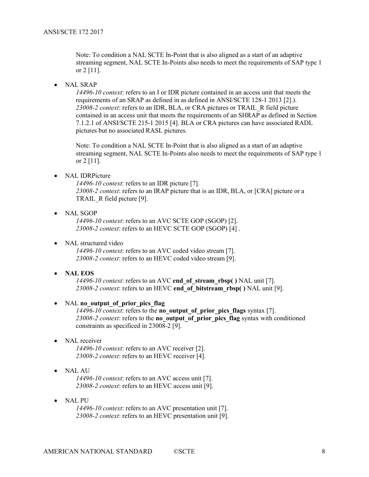Note: To condition a NAL SCTE In-Point that is also aligned as a start of an adaptive streaming segment, NAL SCTE In-Points also needs to meet the requirements of SAP type 1 or 2 [11].

NAL SRAP

14496-10 context: refers to an I or IDR picture contained in an access unit that meets the requirements of an SRAP as defined in as defined in ANSI/SCTE 128-1 2013 [2].). 23008-2 context: refers to an IDR, BLA, or CRA pictures or TRAIL\_R field picture contained in an access unit that meets the requirements of an SHRAP as defined in Section 7.1.2.1 of ANSI/SCTE 215-1 2015 [4]. BLA or CRA pictures can have associated RADL pictures but no associated RASL pictures.

Note: To condition a NAL SCTE In-Point that is also aligned as a start of an adaptive streaming segment, NAL SCTE In-Points also needs to meet the requirements of SAP type 1 or 2 [11].

• NAL IDRPicture

14496-10 context: refers to an IDR picture [7]. 23008-2 context: refers to an IRAP picture that is an IDR, BLA, or [CRA] picture or a TRAIL\_R field picture [9].

• NAL SGOP

14496-10 context: refers to an AVC SCTE GOP (SGOP) [2]. 23008-2 context: refers to an HEVC SCTE GOP (SGOP) [4] .

• NAL structured video

14496-10 context: refers to an AVC coded video stream [7]. 23008-2 context: refers to an HEVC coded video stream [9].

• NAL EOS

14496-10 context: refers to an AVC end of stream rbsp( ) NAL unit [7]. 23008-2 context: refers to an HEVC end of bitstream rbsp( ) NAL unit [9].

• NAL no output of prior pics flag

14496-10 context: refers to the no\_output\_of\_prior\_pics\_flags syntax [7]. 23008-2 context: refers to the no\_output\_of\_prior\_pics\_flag syntax with conditioned constraints as specificed in 23008-2 [9].

• NAL receiver

14496-10 context: refers to an AVC receiver [2]. 23008-2 context: refers to an HEVC receiver [4].

NAL AU

14496-10 context: refers to an AVC access unit [7]. 23008-2 context: refers to an HEVC access unit [9].

 NAL PU 14496-10 context: refers to an AVC presentation unit [7]. 23008-2 context: refers to an HEVC presentation unit [9].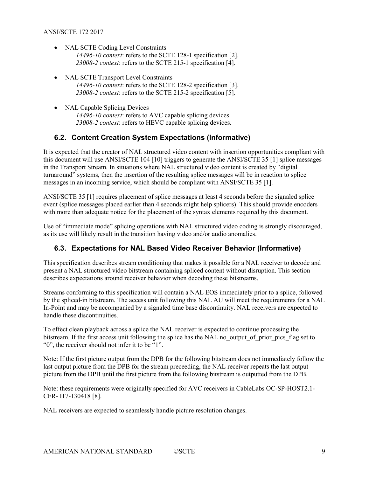- NAL SCTE Coding Level Constraints 14496-10 context: refers to the SCTE 128-1 specification [2]. 23008-2 context: refers to the SCTE 215-1 specification [4].
- NAL SCTE Transport Level Constraints 14496-10 context: refers to the SCTE 128-2 specification [3]. 23008-2 context: refers to the SCTE 215-2 specification [5].
- NAL Capable Splicing Devices 14496-10 context: refers to AVC capable splicing devices. 23008-2 context: refers to HEVC capable splicing devices.

## 6.2. Content Creation System Expectations (Informative)

It is expected that the creator of NAL structured video content with insertion opportunities compliant with this document will use ANSI/SCTE 104 [10] triggers to generate the ANSI/SCTE 35 [1] splice messages in the Transport Stream. In situations where NAL structured video content is created by "digital turnaround" systems, then the insertion of the resulting splice messages will be in reaction to splice messages in an incoming service, which should be compliant with ANSI/SCTE 35 [1].

ANSI/SCTE 35 [1] requires placement of splice messages at least 4 seconds before the signaled splice event (splice messages placed earlier than 4 seconds might help splicers). This should provide encoders with more than adequate notice for the placement of the syntax elements required by this document.

Use of "immediate mode" splicing operations with NAL structured video coding is strongly discouraged, as its use will likely result in the transition having video and/or audio anomalies.

## 6.3. Expectations for NAL Based Video Receiver Behavior (Informative)

This specification describes stream conditioning that makes it possible for a NAL receiver to decode and present a NAL structured video bitstream containing spliced content without disruption. This section describes expectations around receiver behavior when decoding these bitstreams.

Streams conforming to this specification will contain a NAL EOS immediately prior to a splice, followed by the spliced-in bitstream. The access unit following this NAL AU will meet the requirements for a NAL In-Point and may be accompanied by a signaled time base discontinuity. NAL receivers are expected to handle these discontinuities.

To effect clean playback across a splice the NAL receiver is expected to continue processing the bitstream. If the first access unit following the splice has the NAL no output of prior pics flag set to "0", the receiver should not infer it to be "1".

Note: If the first picture output from the DPB for the following bitstream does not immediately follow the last output picture from the DPB for the stream preceeding, the NAL receiver repeats the last output picture from the DPB until the first picture from the following bitstream is outputted from the DPB.

Note: these requirements were originally specified for AVC receivers in CableLabs OC-SP-HOST2.1- CFR- I17-130418 [8].

NAL receivers are expected to seamlessly handle picture resolution changes.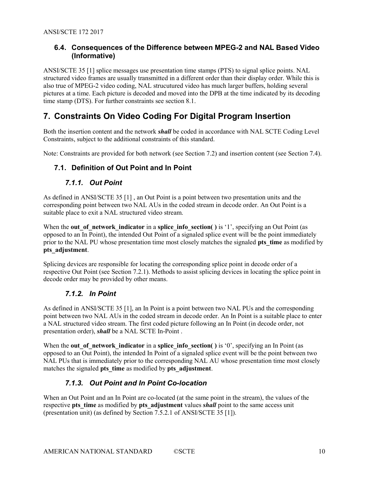#### 6.4. Consequences of the Difference between MPEG-2 and NAL Based Video (Informative)

ANSI/SCTE 35 [1] splice messages use presentation time stamps (PTS) to signal splice points. NAL structured video frames are usually transmitted in a different order than their display order. While this is also true of MPEG-2 video coding, NAL strucutured video has much larger buffers, holding several pictures at a time. Each picture is decoded and moved into the DPB at the time indicated by its decoding time stamp (DTS). For further constraints see section 8.1.

## 7. Constraints On Video Coding For Digital Program Insertion

Both the insertion content and the network **shall** be coded in accordance with NAL SCTE Coding Level Constraints, subject to the additional constraints of this standard.

Note: Constraints are provided for both network (see Section 7.2) and insertion content (see Section 7.4).

#### 7.1. Definition of Out Point and In Point

#### 7.1.1. Out Point

As defined in ANSI/SCTE 35 [1] , an Out Point is a point between two presentation units and the corresponding point between two NAL AUs in the coded stream in decode order. An Out Point is a suitable place to exit a NAL structured video stream.

When the out of network indicator in a splice info section( ) is '1', specifying an Out Point (as opposed to an In Point), the intended Out Point of a signaled splice event will be the point immediately prior to the NAL PU whose presentation time most closely matches the signaled **pts** time as modified by pts\_adjustment.

Splicing devices are responsible for locating the corresponding splice point in decode order of a respective Out Point (see Section 7.2.1). Methods to assist splicing devices in locating the splice point in decode order may be provided by other means.

#### 7.1.2. In Point

As defined in ANSI/SCTE 35 [1], an In Point is a point between two NAL PUs and the corresponding point between two NAL AUs in the coded stream in decode order. An In Point is a suitable place to enter a NAL structured video stream. The first coded picture following an In Point (in decode order, not presentation order), *shall* be a NAL SCTE In-Point.

When the out of network indicator in a splice info section() is '0', specifying an In Point (as opposed to an Out Point), the intended In Point of a signaled splice event will be the point between two NAL PUs that is immediately prior to the corresponding NAL AU whose presentation time most closely matches the signaled pts time as modified by pts adjustment.

## 7.1.3. Out Point and In Point Co-location

When an Out Point and an In Point are co-located (at the same point in the stream), the values of the respective pts time as modified by pts adjustment values shall point to the same access unit (presentation unit) (as defined by Section 7.5.2.1 of ANSI/SCTE 35 [1]).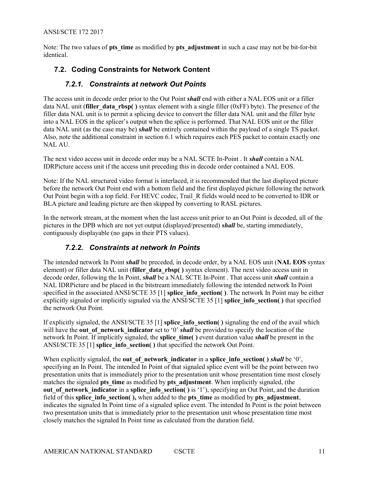Note: The two values of **pts** time as modified by **pts** adjustment in such a case may not be bit-for-bit identical.

## 7.2. Coding Constraints for Network Content

#### 7.2.1. Constraints at network Out Points

The access unit in decode order prior to the Out Point *shall* end with either a NAL EOS unit or a filler data NAL unit (filler data rbsp() syntax element with a single filler ( $0xFF$ ) byte). The presence of the filler data NAL unit is to permit a splicing device to convert the filler data NAL unit and the filler byte into a NAL EOS in the splicer's output when the splice is performed. That NAL EOS unit or the filler data NAL unit (as the case may be) *shall* be entirely contained within the payload of a single TS packet. Also, note the additional constraint in section 6.1 which requires each PES packet to contain exactly one NAL AU.

The next video access unit in decode order may be a NAL SCTE In-Point . It **shall** contain a NAL IDRPicture access unit if the access unit preceding this in decode order contained a NAL EOS.

Note: If the NAL structured video format is interlaced, it is recommended that the last displayed picture before the network Out Point end with a bottom field and the first displayed picture following the network Out Point begin with a top field. For HEVC codec, Trail\_R fields would need to be converted to IDR or BLA picture and leading picture are then skipped by converting to RASL pictures.

In the network stream, at the moment when the last access unit prior to an Out Point is decoded, all of the pictures in the DPB which are not yet output (displayed/presented) shall be, starting immediately, contiguously displayable (no gaps in their PTS values).

#### 7.2.2. Constraints at network In Points

The intended network In Point *shall* be preceded, in decode order, by a NAL EOS unit (NAL EOS syntax element) or filler data NAL unit (filler data rbsp() syntax element). The next video access unit in decode order, following the In Point, *shall* be a NAL SCTE In-Point. That access unit *shall* contain a NAL IDRPicture and be placed in the bitstream immediately following the intended network In Point specified in the associated ANSI/SCTE 35 [1] splice info\_section( ). The network In Point may be either explicitly signaled or implicitly signaled via the ANSI/SCTE 35 [1] splice info\_section( ) that specified the network Out Point.

If explicitly signaled, the ANSI/SCTE 35 [1] splice info\_section( $\prime$ ) signaling the end of the avail which will have the out of network indicator set to '0' shall be provided to specify the location of the network In Point. If implicitly signaled, the splice time() event duration value shall be present in the ANSI/SCTE 35 [1] splice info\_section( ) that specified the network Out Point.

When explicitly signaled, the out of network indicator in a splice info\_section( ) shall be '0', specifying an In Point. The intended In Point of that signaled splice event will be the point between two presentation units that is immediately prior to the presentation unit whose presentation time most closely matches the signaled pts time as modified by pts adjustment. When implicitly signaled, (the out of network indicator in a splice info\_section() is '1'), specifying an Out Point, and the duration field of this splice info\_section( ), when added to the pts\_time as modified by pts\_adjustment, indicates the signaled In Point time of a signaled splice event. The intended In Point is the point between two presentation units that is immediately prior to the presentation unit whose presentation time most closely matches the signaled In Point time as calculated from the duration field.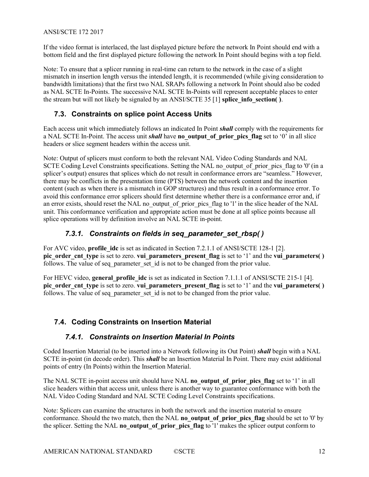If the video format is interlaced, the last displayed picture before the network In Point should end with a bottom field and the first displayed picture following the network In Point should begins with a top field.

Note: To ensure that a splicer running in real-time can return to the network in the case of a slight mismatch in insertion length versus the intended length, it is recommended (while giving consideration to bandwidth limitations) that the first two NAL SRAPs following a network In Point should also be coded as NAL SCTE In-Points. The successive NAL SCTE In-Points will represent acceptable places to enter the stream but will not likely be signaled by an ANSI/SCTE 35 [1] splice info\_section( $\hat{ }$ ).

#### 7.3. Constraints on splice point Access Units

Each access unit which immediately follows an indicated In Point shall comply with the requirements for a NAL SCTE In-Point. The access unit shall have no output of prior pics flag set to '0' in all slice headers or slice segment headers within the access unit.

Note: Output of splicers must conform to both the relevant NAL Video Coding Standards and NAL SCTE Coding Level Constraints specifications. Setting the NAL no output of prior pics flag to '0' (in a splicer's output) ensures that splices which do not result in conformance errors are "seamless." However, there may be conflicts in the presentation time (PTS) between the network content and the insertion content (such as when there is a mismatch in GOP structures) and thus result in a conformance error. To avoid this conformance error splicers should first determine whether there is a conformance error and, if an error exists, should reset the NAL no output of prior pics flag to '1' in the slice header of the NAL unit. This conformance verification and appropriate action must be done at all splice points because all splice operations will by definition involve an NAL SCTE in-point.

#### 7.3.1. Constraints on fields in seq\_parameter set rbsp()

For AVC video, profile\_idc is set as indicated in Section 7.2.1.1 of ANSI/SCTE 128-1 [2]. pic\_order\_cnt\_type is set to zero. vui\_parameters\_present\_flag is set to '1' and the vui\_parameters( ) follows. The value of seq parameter set id is not to be changed from the prior value.

For HEVC video, general profile idc is set as indicated in Section 7.1.1.1 of ANSI/SCTE 215-1 [4]. pic order cnt type is set to zero. vui parameters present flag is set to '1' and the vui parameters() follows. The value of seq parameter set id is not to be changed from the prior value.

## 7.4. Coding Constraints on Insertion Material

#### 7.4.1. Constraints on Insertion Material In Points

Coded Insertion Material (to be inserted into a Network following its Out Point) **shall** begin with a NAL SCTE in-point (in decode order). This *shall* be an Insertion Material In Point. There may exist additional points of entry (In Points) within the Insertion Material.

The NAL SCTE in-point access unit should have NAL no output of prior pics flag set to '1' in all slice headers within that access unit, unless there is another way to guarantee conformance with both the NAL Video Coding Standard and NAL SCTE Coding Level Constraints specifications.

Note: Splicers can examine the structures in both the network and the insertion material to ensure conformance. Should the two match, then the NAL no output of prior pics flag should be set to '0' by the splicer. Setting the NAL no output of prior pics flag to '1' makes the splicer output conform to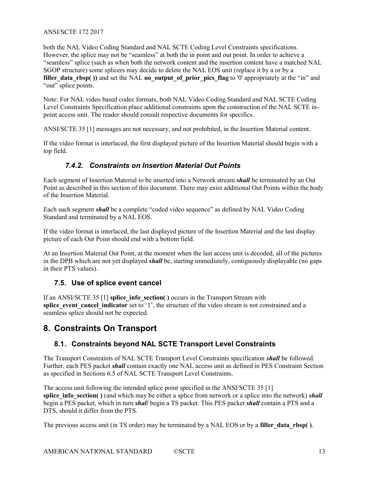both the NAL Video Coding Standard and NAL SCTE Coding Level Constraints specifications. However, the splice may not be "seamless" at both the in point and out point. In order to achieve a "seamless" splice (such as when both the network content and the insertion content have a matched NAL SGOP structure) some splicers may decide to delete the NAL EOS unit (replace it by a or by a filler data rbsp()) and set the NAL no output of prior pics flag to '0' appropriately at the "in" and "out" splice points.

Note: For NAL video based codec formats, both NAL Video Coding Standard and NAL SCTE Coding Level Constraints Specification place additional constraints upon the construction of the NAL SCTE inpoint access unit. The reader should consult respective documents for specifics.

ANSI/SCTE 35 [1] messages are not necessary, and not prohibited, in the Insertion Material content.

If the video format is interlaced, the first displayed picture of the Insertion Material should begin with a top field.

## 7.4.2. Constraints on Insertion Material Out Points

Each segment of Insertion Material to be inserted into a Network stream shall be terminated by an Out Point as described in this section of this document. There may exist additional Out Points within the body of the Insertion Material.

Each such segment shall be a complete "coded video sequence" as defined by NAL Video Coding Standard and terminated by a NAL EOS.

If the video format is interlaced, the last displayed picture of the Insertion Material and the last display picture of each Out Point should end with a bottom field.

At an Insertion Material Out Point, at the moment when the last access unit is decoded, all of the pictures in the DPB which are not yet displayed **shall** be, starting immediately, contiguously displayable (no gaps in their PTS values).

## 7.5. Use of splice event cancel

If an ANSI/SCTE 35 [1] splice info\_section( ) occurs in the Transport Stream with splice event cancel indicator set to '1', the structure of the video stream is not constrained and a seamless splice should not be expected.

## 8. Constraints On Transport

## 8.1. Constraints beyond NAL SCTE Transport Level Constraints

The Transport Constraints of NAL SCTE Transport Level Constraints specification shall be followed. Further, each PES packet shall contain exactly one NAL access unit as defined in PES Constraint Section as specified in Sections 6.5 of NAL SCTE Transport Level Constraints.

The access unit following the intended splice point specified in the ANSI/SCTE 35 [1] splice info section( ) (and which may be either a splice from network or a splice into the network) shall begin a PES packet, which in turn *shall* begin a TS packet. This PES packet *shall* contain a PTS and a DTS, should it differ from the PTS.

The previous access unit (in TS order) may be terminated by a NAL EOS or by a filler data rbsp().